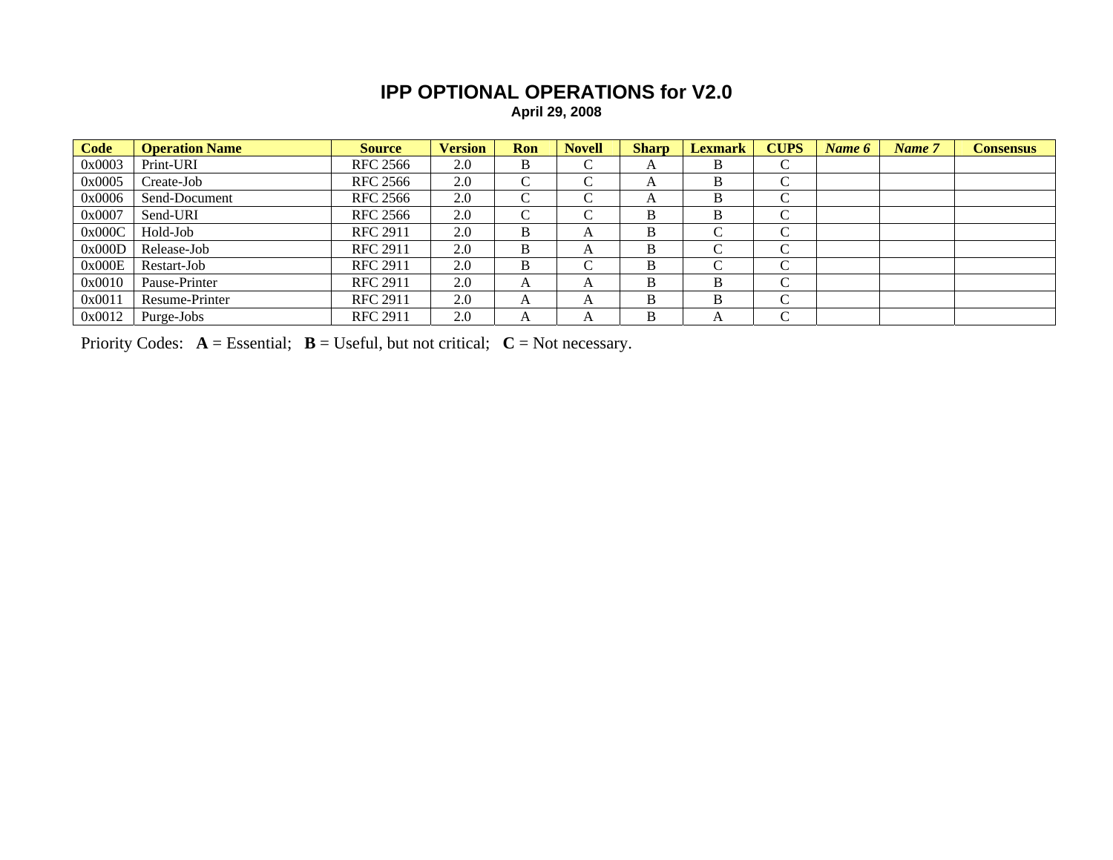## **IPP OPTIONAL OPERATIONS for V2.0 April 29, 2008**

**Code Operation Name Source Version Ron Novell Sharp Lexmark CUPS** *Name 6 Name 7* **Consensus**  0x0003 Print-URI RFC 2566 2.0 B C A B C  ${\bf C}$ 0x0005 Create-Job RFC 2566 | 2.0 | C | C | A | B | C  $\overline{C}$ 0x0006 Send-Document RFC 2566 2.0 C C A B  $\overline{C}$ 0x0007 Send-URI RFC 2566 2.0 C C B B C  $\overline{C}$ 0x000C | Hold-Job | RFC 2911 | 2.0 | B | A | B | C | C  ${\bf C}$ 0x000D Release-Job RFC 2911 2.0 B A B C  $\overline{C}$ 0x000E Restart-Job RFC 2911 2.0 B C B C  ${\bf C}$ 0x0010 Pause-Printer RFC 2911 2.0 A A B B  $\overline{C}$ 0x0011 Resume-Printer RFC 2911 2.0 A A B B  ${\bf C}$ 0x0012 Purge-Jobs RFC 2911 2.0 A A B A C

Priority Codes:  $A =$  Essential;  $B =$  Useful, but not critical;  $C =$  Not necessary.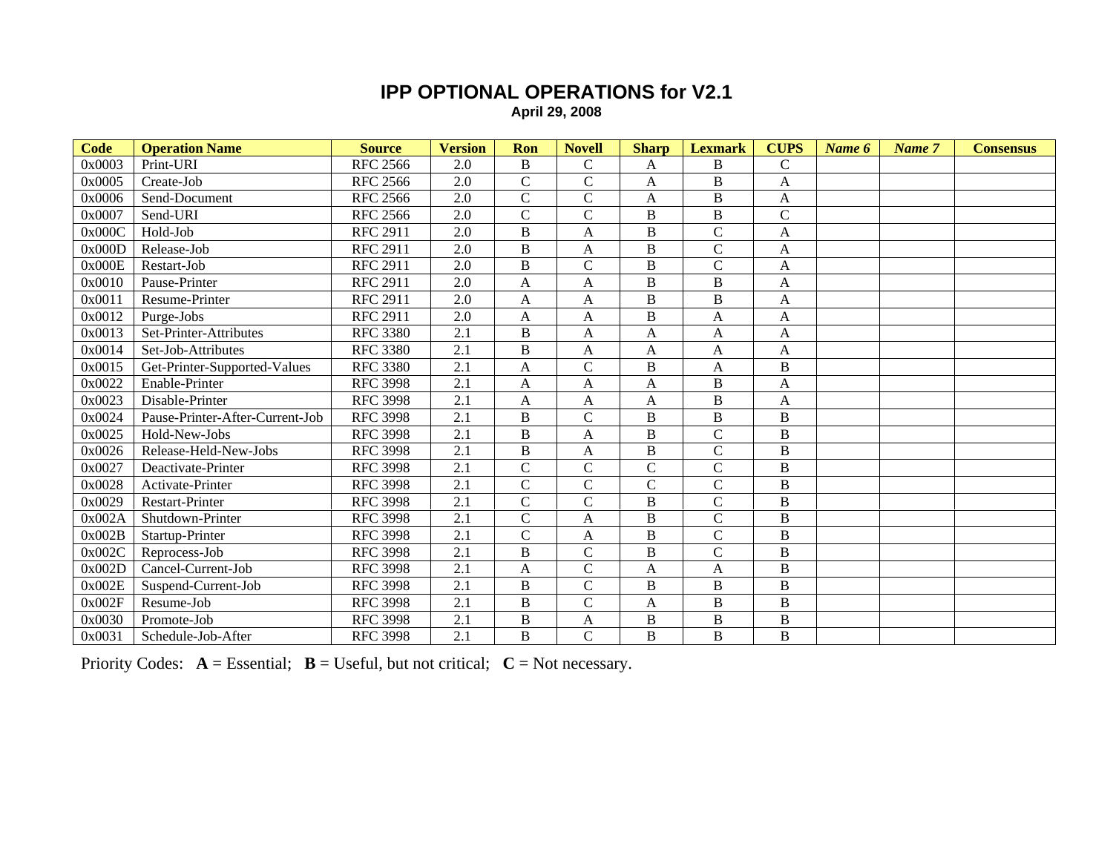## **IPP OPTIONAL OPERATIONS for V2.1 April 29, 2008**

| Code   | <b>Operation Name</b>           | <b>Source</b>   | <b>Version</b>   | Ron            | <b>Novell</b>      | <b>Sharp</b>   | <b>Lexmark</b> | <b>CUPS</b>    | Name 6 | Name 7 | <b>Consensus</b> |
|--------|---------------------------------|-----------------|------------------|----------------|--------------------|----------------|----------------|----------------|--------|--------|------------------|
| 0x0003 | Print-URI                       | <b>RFC 2566</b> | 2.0              | $\, {\bf B}$   | $\mathsf{C}$       | A              | B              | $\mathsf C$    |        |        |                  |
| 0x0005 | Create-Job                      | <b>RFC 2566</b> | 2.0              | $\mathsf C$    | $\mathcal{C}$      | A              | B              | A              |        |        |                  |
| 0x0006 | Send-Document                   | <b>RFC 2566</b> | $\overline{2.0}$ | $\overline{C}$ | $\overline{\rm C}$ | A              | $\bf{B}$       | $\mathbf{A}$   |        |        |                  |
| 0x0007 | Send-URI                        | <b>RFC 2566</b> | 2.0              | $\mathcal{C}$  | $\overline{C}$     | $\overline{B}$ | B              | $\mathbf C$    |        |        |                  |
| 0x000C | Hold-Job                        | <b>RFC 2911</b> | $\overline{2.0}$ | $\overline{B}$ | $\overline{A}$     | $\, {\bf B}$   | $\overline{C}$ | $\mathbf{A}$   |        |        |                  |
| 0x000D | Release-Job                     | <b>RFC 2911</b> | 2.0              | $\, {\bf B}$   | A                  | B              | $\mathsf{C}$   | A              |        |        |                  |
| 0x000E | Restart-Job                     | <b>RFC 2911</b> | 2.0              | $\, {\bf B}$   | $\overline{C}$     | $\overline{B}$ | $\bar{C}$      | A              |        |        |                  |
| 0x0010 | Pause-Printer                   | <b>RFC 2911</b> | 2.0              | A              | A                  | $\, {\bf B}$   | $\bf{B}$       | A              |        |        |                  |
| 0x0011 | Resume-Printer                  | <b>RFC 2911</b> | 2.0              | $\mathbf{A}$   | $\overline{A}$     | $\, {\bf B}$   | $\bf{B}$       | A              |        |        |                  |
| 0x0012 | Purge-Jobs                      | <b>RFC 2911</b> | 2.0              | $\mathbf{A}$   | A                  | B              | A              | A              |        |        |                  |
| 0x0013 | Set-Printer-Attributes          | <b>RFC 3380</b> | 2.1              | B              | A                  | A              | A              | A              |        |        |                  |
| 0x0014 | Set-Job-Attributes              | <b>RFC 3380</b> | 2.1              | $\, {\bf B}$   | $\overline{A}$     | A              | A              | A              |        |        |                  |
| 0x0015 | Get-Printer-Supported-Values    | <b>RFC 3380</b> | $\overline{2.1}$ | $\overline{A}$ | $\overline{C}$     | $\overline{B}$ | A              | $\overline{B}$ |        |        |                  |
| 0x0022 | Enable-Printer                  | <b>RFC 3998</b> | 2.1              | $\mathbf{A}$   | A                  | A              | $\bf{B}$       | A              |        |        |                  |
| 0x0023 | Disable-Printer                 | <b>RFC 3998</b> | 2.1              | $\overline{A}$ | A                  | A              | $\bf{B}$       | A              |        |        |                  |
| 0x0024 | Pause-Printer-After-Current-Job | <b>RFC 3998</b> | $\overline{2.1}$ | $\, {\bf B}$   | $\overline{C}$     | $\overline{B}$ | $\, {\bf B}$   | $\, {\bf B}$   |        |        |                  |
| 0x0025 | Hold-New-Jobs                   | <b>RFC</b> 3998 | $\overline{2.1}$ | $\overline{B}$ | A                  | $\overline{B}$ | $\overline{C}$ | $\overline{B}$ |        |        |                  |
| 0x0026 | Release-Held-New-Jobs           | <b>RFC 3998</b> | 2.1              | $\, {\bf B}$   | A                  | $\, {\bf B}$   | $\overline{C}$ | $\, {\bf B}$   |        |        |                  |
| 0x0027 | Deactivate-Printer              | <b>RFC 3998</b> | 2.1              | $\mathcal{C}$  | $\mathsf{C}$       | $\mathcal{C}$  | $\mathbf C$    | $\, {\bf B}$   |        |        |                  |
| 0x0028 | Activate-Printer                | <b>RFC 3998</b> | 2.1              | $\mathcal{C}$  | $\overline{C}$     | $\mathcal{C}$  | $\mathcal{C}$  | $\, {\bf B}$   |        |        |                  |
| 0x0029 | <b>Restart-Printer</b>          | <b>RFC 3998</b> | 2.1              | $\mathcal{C}$  | $\overline{C}$     | $\, {\bf B}$   | $\mathsf{C}$   | $\, {\bf B}$   |        |        |                  |
| 0x002A | Shutdown-Printer                | <b>RFC 3998</b> | 2.1              | $\mathcal{C}$  | A                  | $\, {\bf B}$   | $\mathcal{C}$  | $\, {\bf B}$   |        |        |                  |
| 0x002B | Startup-Printer                 | <b>RFC 3998</b> | 2.1              | $\mathcal{C}$  | A                  | B              | $\mathcal{C}$  | $\, {\bf B}$   |        |        |                  |
| 0x002C | Reprocess-Job                   | <b>RFC 3998</b> | 2.1              | $\, {\bf B}$   | $\overline{C}$     | $\overline{B}$ | $\mathcal{C}$  | $\, {\bf B}$   |        |        |                  |
| 0x002D | Cancel-Current-Job              | <b>RFC 3998</b> | 2.1              | $\mathbf{A}$   | $\mathsf{C}$       | A              | A              | $\, {\bf B}$   |        |        |                  |
| 0x002E | Suspend-Current-Job             | <b>RFC 3998</b> | 2.1              | $\, {\bf B}$   | $\overline{\rm C}$ | $\, {\bf B}$   | $\, {\bf B}$   | $\, {\bf B}$   |        |        |                  |
| 0x002F | Resume-Job                      | <b>RFC 3998</b> | 2.1              | $\, {\bf B}$   | $\overline{C}$     | $\mathbf{A}$   | B              | $\, {\bf B}$   |        |        |                  |
| 0x0030 | Promote-Job                     | <b>RFC 3998</b> | 2.1              | $\, {\bf B}$   | $\overline{A}$     | $\overline{B}$ | $\overline{B}$ | $\, {\bf B}$   |        |        |                  |
| 0x0031 | Schedule-Job-After              | <b>RFC 3998</b> | 2.1              | $\mathbf B$    | $\overline{C}$     | $\, {\bf B}$   | $\bf{B}$       | $\bf{B}$       |        |        |                  |

Priority Codes:  $A = E$ ssential;  $B = U$ seful, but not critical;  $C = Not$  necessary.